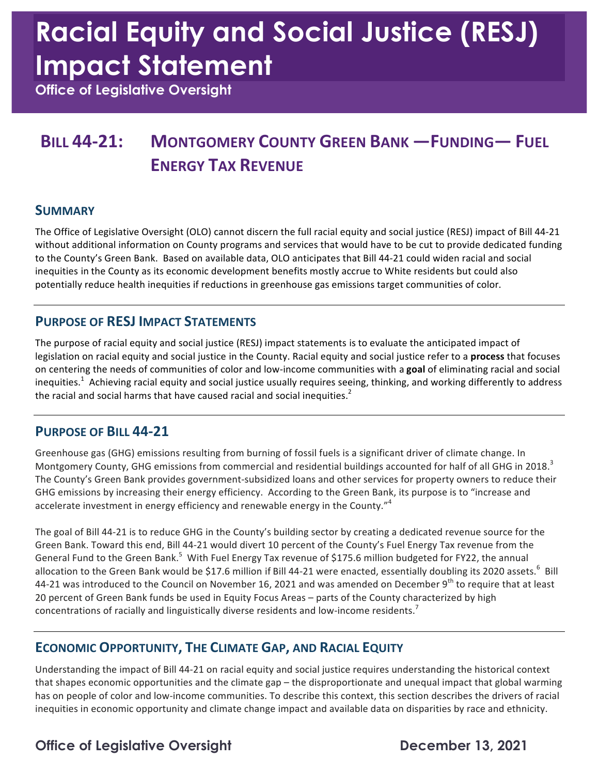# **Racial Equity and Social Justice (RESJ) Impact Statement**

 **Office of Legislative Oversight** 

## **BILL 44-21: MONTGOMERY COUNTY GREEN BANK —FUNDING— FUEL ENERGY TAX REVENUE**

#### **SUMMARY**

The Office of Legislative Oversight (OLO) cannot discern the full racial equity and social justice (RESJ) impact of Bill 44-21 without additional information on County programs and services that would have to be cut to provide dedicated funding to the County's Green Bank. Based on available data, OLO anticipates that Bill 44-21 could widen racial and social potentially reduce health inequities if reductions in greenhouse gas emissions target communities of color. inequities in the County as its economic development benefits mostly accrue to White residents but could also

#### **PURPOSE OF RESJ IMPACT STATEMENTS**

The purpose of racial equity and social justice (RESJ) impact statements is to evaluate the anticipated impact of legislation on racial equity and social justice in the County. Racial equity and social justice refer to a **process** that focuses on centering the needs of communities of color and low-income communities with a goal of eliminating racial and social inequities.<sup>1</sup> Achieving racial equity and social justice usually requires seeing, thinking, and working differently to address the racial and social harms that have caused racial and social inequities.<sup>2</sup>

#### **PURPOSE OF BILL 44-21**

Greenhouse gas (GHG) emissions resulting from burning of fossil fuels is a significant driver of climate change. In Montgomery County, GHG emissions from commercial and residential buildings accounted for half of all GHG in 2018.<sup>3</sup> The County's Green Bank provides government-subsidized loans and other services for property owners to reduce their GHG emissions by increasing their energy efficiency. According to the Green Bank, its purpose is to "increase and accelerate investment in energy efficiency and renewable energy in the County."<sup>4</sup>

The goal of Bill 44-21 is to reduce GHG in the County's building sector by creating a dedicated revenue source for the Green Bank. Toward this end, Bill 44-21 would divert 10 percent of the County's Fuel Energy Tax revenue from the General Fund to the Green Bank.<sup>5</sup> With Fuel Energy Tax revenue of \$175.6 million budgeted for FY22, the annual allocation to the Green Bank would be \$17.6 million if Bill 44-21 were enacted, essentially doubling its 2020 assets.<sup>6</sup> Bill 44-21 was introduced to the Council on November 16, 2021 and was amended on December 9<sup>th</sup> to require that at least 20 percent of Green Bank funds be used in Equity Focus Areas - parts of the County characterized by high concentrations of racially and linguistically diverse residents and low-income residents.<sup>7</sup>

#### **ECONOMIC OPPORTUNITY, THE CLIMATE GAP, AND RACIAL EQUITY**

Understanding the impact of Bill 44-21 on racial equity and social justice requires understanding the historical context that shapes economic opportunities and the climate gap – the disproportionate and unequal impact that global warming has on people of color and low-income communities. To describe this context, this section describes the drivers of racial inequities in economic opportunity and climate change impact and available data on disparities by race and ethnicity.

### **Office of Legislative Oversight Channel Control Control December 13, 2021**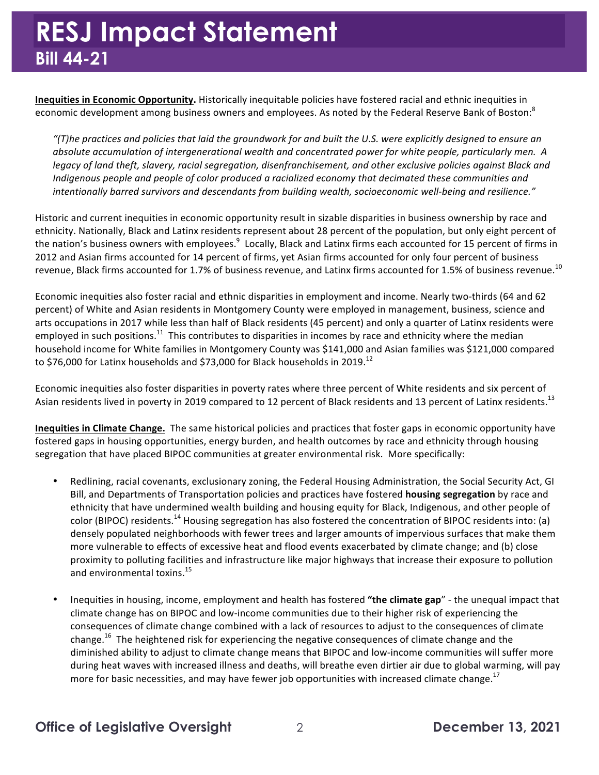**Inequities in Economic Opportunity.** Historically inequitable policies have fostered racial and ethnic inequities in economic development among business owners and employees. As noted by the Federal Reserve Bank of Boston:<sup>8</sup>

"(T)he practices and policies that laid the groundwork for and built the U.S. were explicitly designed to ensure an  *absolute accumulation of intergenerational wealth and concentrated power for white people, particularly men. A* legacy of land theft, slavery, racial segregation, disenfranchisement, and other exclusive policies against Black and *Indigenous people and people of color produced a racialized economy that decimated these communities and intentionally barred survivors and descendants from building wealth, socioeconomic well-being and resilience."*

 Historic and current inequities in economic opportunity result in sizable disparities in business ownership by race and ethnicity. Nationally, Black and Latinx residents represent about 28 percent of the population, but only eight percent of the nation's business owners with employees.<sup>9</sup> Locally, Black and Latinx firms each accounted for 15 percent of firms in 2012 and Asian firms accounted for 14 percent of firms, yet Asian firms accounted for only four percent of business revenue, Black firms accounted for 1.7% of business revenue, and Latinx firms accounted for 1.5% of business [revenue.](https://revenue.10) $^{10}$ 

Economic inequities also foster racial and ethnic disparities in employment and income. Nearly two-thirds (64 and 62 percent) of White and Asian residents in Montgomery County were employed in management, business, science and arts occupations in 2017 while less than half of Black residents (45 percent) and only a quarter of Latinx residents were employed in such positions.<sup>11</sup> This contributes to disparities in incomes by race and ethnicity where the median household income for White families in Montgomery County was \$141,000 and Asian families was \$121,000 compared to \$76,000 for Latinx households and \$73,000 for Black households in 2019.<sup>12</sup>

Economic inequities also foster disparities in poverty rates where three percent of White residents and six percent of Asian residents lived in poverty in 2019 compared to 12 percent of Black residents and 13 percent of Latinx residents.<sup>13</sup>

**Inequities in Climate Change.** The same historical policies and practices that foster gaps in economic opportunity have fostered gaps in housing opportunities, energy burden, and health outcomes by race and ethnicity through housing segregation that have placed BIPOC communities at greater environmental risk. More specifically:

- Redlining, racial covenants, exclusionary zoning, the Federal Housing Administration, the Social Security Act, GI Bill, and Departments of Transportation policies and practices have fostered **housing segregation** by race and ethnicity that have undermined wealth building and housing equity for Black, Indigenous, and other people of color (BIPOC) residents.<sup>14</sup> Housing segregation has also fostered the concentration of BIPOC residents into: (a) densely populated neighborhoods with fewer trees and larger amounts of impervious surfaces that make them more vulnerable to effects of excessive heat and flood events exacerbated by climate change; and (b) close proximity to polluting facilities and infrastructure like major highways that increase their exposure to pollution and environmental [toxins.](https://toxins.15)<sup>15</sup>
- Inequities in housing, income, employment and health has fostered "the climate gap" the unequal impact that climate change has on BIPOC and low-income communities due to their higher risk of experiencing the consequences of climate change combined with a lack of resources to adjust to the consequences of climate [change.](https://change.16)<sup>16</sup> The heightened risk for experiencing the negative consequences of climate change and the diminished ability to adjust to climate change means that BIPOC and low-income communities will suffer more during heat waves with increased illness and deaths, will breathe even dirtier air due to global warming, will pay more for basic necessities, and may have fewer job opportunities with increased climate change.<sup>17</sup>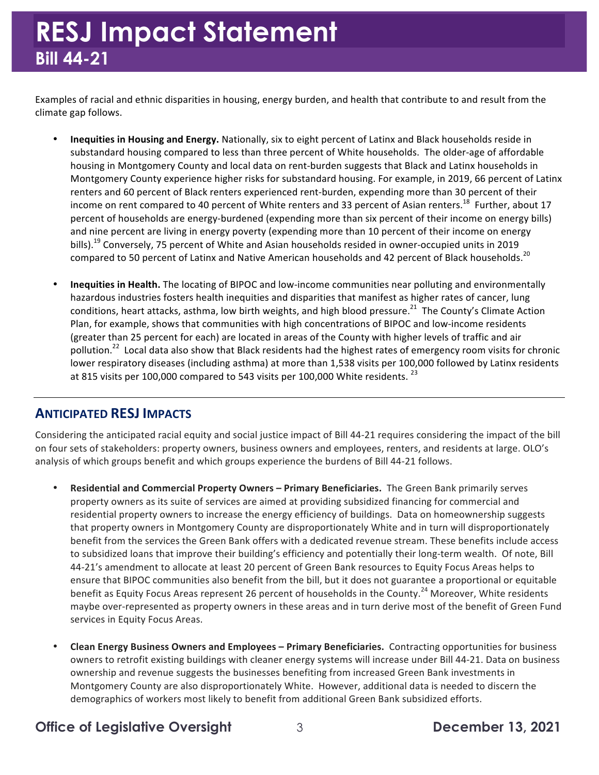Examples of racial and ethnic disparities in housing, energy burden, and health that contribute to and result from the climate gap follows.

- **Inequities in Housing and Energy.** Nationally, six to eight percent of Latinx and Black households reside in substandard housing compared to less than three percent of White households. The older-age of affordable housing in Montgomery County and local data on rent-burden suggests that Black and Latinx households in Montgomery County experience higher risks for substandard housing. For example, in 2019, 66 percent of Latinx renters and 60 percent of Black renters experienced rent-burden, expending more than 30 percent of their income on rent compared to 40 percent of White renters and 33 percent of Asian renters.<sup>18</sup> Further, about 17 percent of households are energy-burdened (expending more than six percent of their income on energy bills) and nine percent are living in energy poverty (expending more than 10 percent of their income on energy [bills\).](https://bills).19)<sup>19</sup> Conversely, 75 percent of White and Asian households resided in owner-occupied units in 2019 compared to 50 percent of Latinx and Native American households and 42 percent of Black [households.](https://households.20)<sup>20</sup>
- **Inequities in Health.** The locating of BIPOC and low-income communities near polluting and environmentally hazardous industries fosters health inequities and disparities that manifest as higher rates of cancer, lung conditions, heart attacks, asthma, low birth weights, and high blood [pressure.](https://pressure.21)<sup>21</sup> The County's Climate Action Plan, for example, shows that communities with high concentrations of BIPOC and low-income residents (greater than 25 percent for each) are located in areas of the County with higher levels of traffic and air [pollution.](https://pollution.22)<sup>22</sup> Local data also show that Black residents had the highest rates of emergency room visits for chronic lower respiratory diseases (including asthma) at more than 1,538 visits per 100,000 followed by Latinx residents at 815 visits per 100,000 compared to 543 visits per 100,000 White residents.  $^{23}$

#### **ANTICIPATED RESJ IMPACTS**

Considering the anticipated racial equity and social justice impact of Bill 44-21 requires considering the impact of the bill on four sets of stakeholders: property owners, business owners and employees, renters, and residents at large. OLO's analysis of which groups benefit and which groups experience the burdens of Bill 44-21 follows.

- **Residential and Commercial Property Owners – Primary Beneficiaries.** The Green Bank primarily serves property owners as its suite of services are aimed at providing subsidized financing for commercial and residential property owners to increase the energy efficiency of buildings. Data on homeownership suggests that property owners in Montgomery County are disproportionately White and in turn will disproportionately benefit from the services the Green Bank offers with a dedicated revenue stream. These benefits include access to subsidized loans that improve their building's efficiency and potentially their long-term wealth. Of note, Bill 44-21's amendment to allocate at least 20 percent of Green Bank resources to Equity Focus Areas helps to ensure that BIPOC communities also benefit from the bill, but it does not guarantee a proportional or equitable benefit as Equity Focus Areas represent 26 percent of households in the [County.](https://County.24)<sup>24</sup> Moreover, White residents maybe over-represented as property owners in these areas and in turn derive most of the benefit of Green Fund services in Equity Focus Areas.
- **Clean Energy Business Owners and Employees Primary Beneficiaries. Contracting opportunities for business** owners to retrofit existing buildings with cleaner energy systems will increase under Bill 44-21. Data on business ownership and revenue suggests the businesses benefiting from increased Green Bank investments in Montgomery County are also disproportionately White. However, additional data is needed to discern the demographics of workers most likely to benefit from additional Green Bank subsidized efforts.

#### **Office of Legislative Oversight** 3 **December 13, 2021**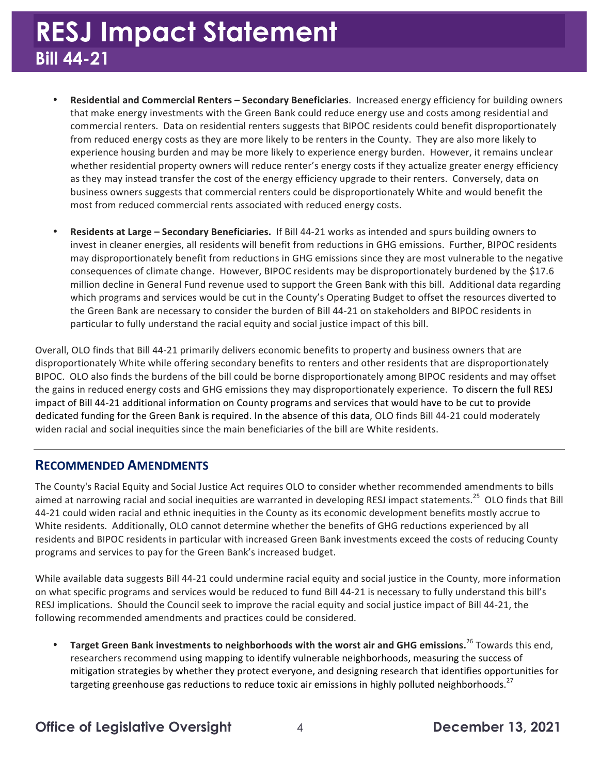## **RESJ Impact Statement Bill 44-21**

- **Residential and Commercial Renters Secondary Beneficiaries. Increased energy efficiency for building owners** that make energy investments with the Green Bank could reduce energy use and costs among residential and commercial renters. Data on residential renters suggests that BIPOC residents could benefit disproportionately from reduced energy costs as they are more likely to be renters in the County. They are also more likely to experience housing burden and may be more likely to experience energy burden. However, it remains unclear whether residential property owners will reduce renter's energy costs if they actualize greater energy efficiency as they may instead transfer the cost of the energy efficiency upgrade to their renters. Conversely, data on business owners suggests that commercial renters could be disproportionately White and would benefit the most from reduced commercial rents associated with reduced energy costs.
- **Residents at Large Secondary Beneficiaries.** If Bill 44-21 works as intended and spurs building owners to invest in cleaner energies, all residents will benefit from reductions in GHG emissions. Further, BIPOC residents may disproportionately benefit from reductions in GHG emissions since they are most vulnerable to the negative consequences of climate change. However, BIPOC residents may be disproportionately burdened by the \$17.6 million decline in General Fund revenue used to support the Green Bank with this bill. Additional data regarding which programs and services would be cut in the County's Operating Budget to offset the resources diverted to the Green Bank are necessary to consider the burden of Bill 44-21 on stakeholders and BIPOC residents in particular to fully understand the racial equity and social justice impact of this bill.

Overall, OLO finds that Bill 44-21 primarily delivers economic benefits to property and business owners that are disproportionately White while offering secondary benefits to renters and other residents that are disproportionately BIPOC. OLO also finds the burdens of the bill could be borne disproportionately among BIPOC residents and may offset the gains in reduced energy costs and GHG emissions they may disproportionately experience. To discern the full RESJ impact of Bill 44-21 additional information on County programs and services that would have to be cut to provide dedicated funding for the Green Bank is required. In the absence of this data, OLO finds Bill 44-21 could moderately widen racial and social inequities since the main beneficiaries of the bill are White residents.

#### **RECOMMENDED AMENDMENTS**

 The County's Racial Equity and Social Justice Act requires OLO to consider whether recommended amendments to bills aimed at narrowing racial and social inequities are warranted in developing RESJ impact [statements.](https://statements.25)<sup>25</sup> OLO finds that Bill 44-21 could widen racial and ethnic inequities in the County as its economic development benefits mostly accrue to White residents. Additionally, OLO cannot determine whether the benefits of GHG reductions experienced by all residents and BIPOC residents in particular with increased Green Bank investments exceed the costs of reducing County programs and services to pay for the Green Bank's increased budget.

While available data suggests Bill 44-21 could undermine racial equity and social justice in the County, more information on what specific programs and services would be reduced to fund Bill 44-21 is necessary to fully understand this bill's RESJ implications. Should the Council seek to improve the racial equity and social justice impact of Bill 44-21, the following recommended amendments and practices could be considered.

**• Target Green Bank investments to neighborhoods with the worst air and GHG [emissions.](https://emissions.26)<sup>26</sup> Towards this end,** researchers recommend using mapping to identify vulnerable neighborhoods, measuring the success of mitigation strategies by whether they protect everyone, and designing research that identifies opportunities for targeting greenhouse gas reductions to reduce toxic air emissions in highly polluted [neighborhoods.](https://neighborhoods.27)<sup>27</sup>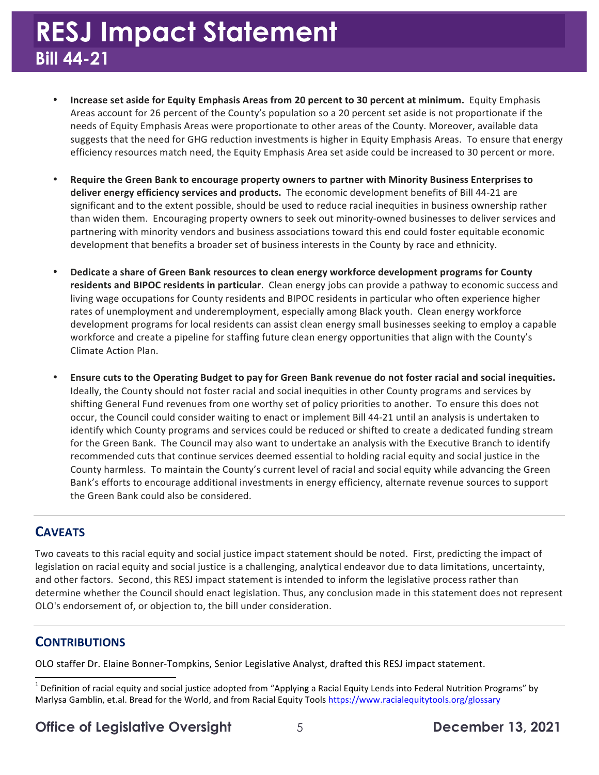- Increase set aside for Equity Emphasis Areas from 20 percent to 30 percent at minimum. Equity Emphasis Areas account for 26 percent of the County's population so a 20 percent set aside is not proportionate if the needs of Equity Emphasis Areas were proportionate to other areas of the County. Moreover, available data suggests that the need for GHG reduction investments is higher in Equity Emphasis Areas. To ensure that energy efficiency resources match need, the Equity Emphasis Area set aside could be increased to 30 percent or more.
- Require the Green Bank to encourage property owners to partner with Minority Business Enterprises to deliver energy efficiency services and products. The economic development benefits of Bill 44-21 are significant and to the extent possible, should be used to reduce racial inequities in business ownership rather than widen them. Encouraging property owners to seek out minority-owned businesses to deliver services and partnering with minority vendors and business associations toward this end could foster equitable economic development that benefits a broader set of business interests in the County by race and ethnicity.
- **Dedicate a share of Green Bank resources to clean energy workforce development programs for County** residents and BIPOC residents in particular. Clean energy jobs can provide a pathway to economic success and rates of unemployment and underemployment, especially among Black youth. Clean energy workforce development programs for local residents can assist clean energy small businesses seeking to employ a capable workforce and create a pipeline for staffing future clean energy opportunities that align with the County's living wage occupations for County residents and BIPOC residents in particular who often experience higher Climate Action Plan.
- Ensure cuts to the Operating Budget to pay for Green Bank revenue do not foster racial and social inequities. Ideally, the County should not foster racial and social inequities in other County programs and services by shifting General Fund revenues from one worthy set of policy priorities to another. To ensure this does not occur, the Council could consider waiting to enact or implement Bill 44-21 until an analysis is undertaken to identify which County programs and services could be reduced or shifted to create a dedicated funding stream for the Green Bank. The Council may also want to undertake an analysis with the Executive Branch to identify recommended cuts that continue services deemed essential to holding racial equity and social justice in the County harmless. To maintain the County's current level of racial and social equity while advancing the Green Bank's efforts to encourage additional investments in energy efficiency, alternate revenue sources to support the Green Bank could also be considered.

#### **CAVEATS**

 Two caveats to this racial equity and social justice impact statement should be noted. First, predicting the impact of and other factors. Second, this RESJ impact statement is intended to inform the legislative process rather than determine whether the Council should enact legislation. Thus, any conclusion made in this statement does not represent OLO's endorsement of, or objection to, the bill under consideration. legislation on racial equity and social justice is a challenging, analytical endeavor due to data limitations, uncertainty,

#### **CONTRIBUTIONS**

 

OLO staffer Dr. Elaine Bonner-Tompkins, Senior Legislative Analyst, drafted this RESJ impact statement.

#### **Office of Legislative Oversight** 5 **December 13, 2021**

 $^1$  Definition of racial equity and social justice adopted from "Applying a Racial Equity Lends into Federal Nutrition Programs" by Marlysa Gamblin, et.al. Bread for the World, and from Racial Equity Tools <https://www.racialequitytools.org/glossary>